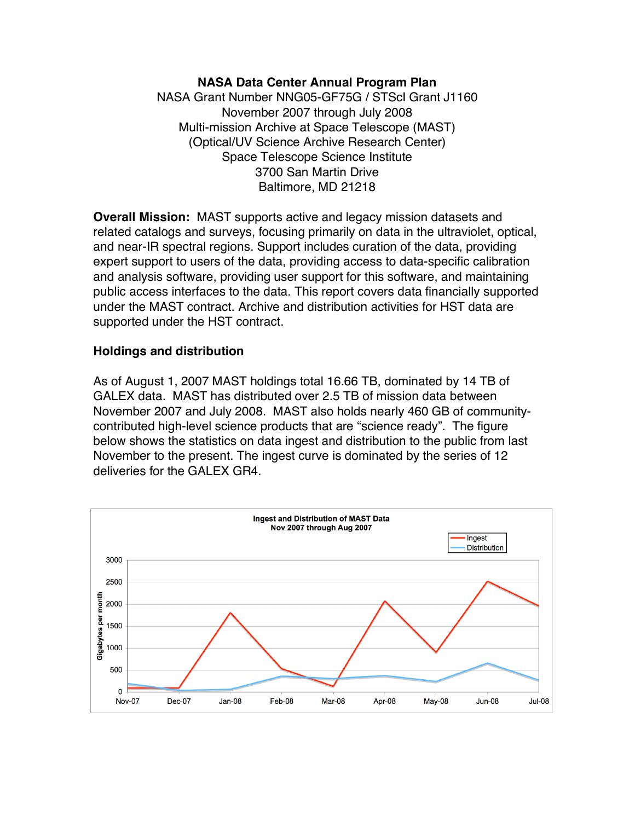### **NASA Data Center Annual Program Plan**

NASA Grant Number NNG05-GF75G / STScI Grant J1160 November 2007 through July 2008 Multi-mission Archive at Space Telescope (MAST) (Optical/UV Science Archive Research Center) Space Telescope Science Institute 3700 San Martin Drive Baltimore, MD 21218

**Overall Mission:** MAST supports active and legacy mission datasets and related catalogs and surveys, focusing primarily on data in the ultraviolet, optical, and near-IR spectral regions. Support includes curation of the data, providing expert support to users of the data, providing access to data-specific calibration and analysis software, providing user support for this software, and maintaining public access interfaces to the data. This report covers data financially supported under the MAST contract. Archive and distribution activities for HST data are supported under the HST contract.

### **Holdings and distribution**

As of August 1, 2007 MAST holdings total 16.66 TB, dominated by 14 TB of GALEX data. MAST has distributed over 2.5 TB of mission data between November 2007 and July 2008. MAST also holds nearly 460 GB of communitycontributed high-level science products that are "science ready". The figure below shows the statistics on data ingest and distribution to the public from last November to the present. The ingest curve is dominated by the series of 12 deliveries for the GALEX GR4.

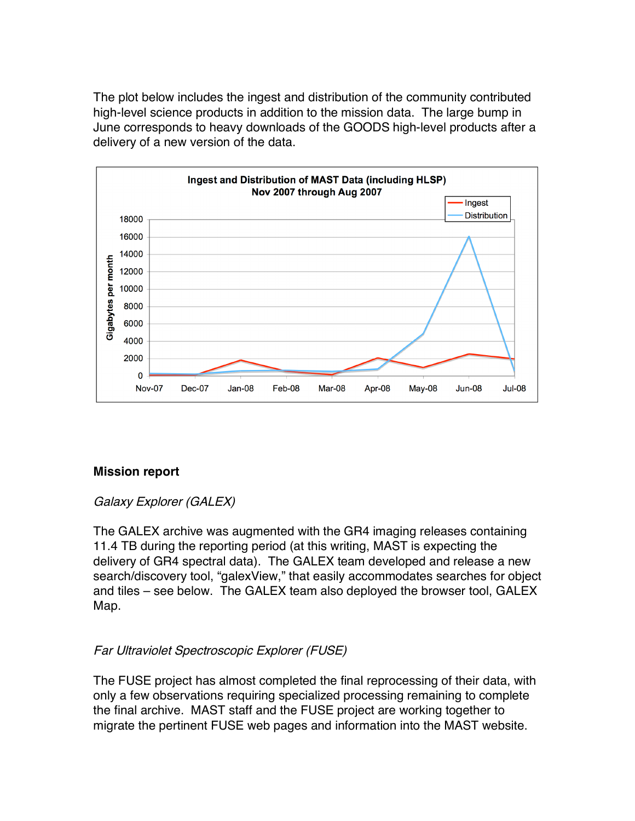The plot below includes the ingest and distribution of the community contributed high-level science products in addition to the mission data. The large bump in June corresponds to heavy downloads of the GOODS high-level products after a delivery of a new version of the data.



### **Mission report**

### Galaxy Explorer (GALEX)

The GALEX archive was augmented with the GR4 imaging releases containing 11.4 TB during the reporting period (at this writing, MAST is expecting the delivery of GR4 spectral data). The GALEX team developed and release a new search/discovery tool, "galexView," that easily accommodates searches for object and tiles – see below. The GALEX team also deployed the browser tool, GALEX Map.

# Far Ultraviolet Spectroscopic Explorer (FUSE)

The FUSE project has almost completed the final reprocessing of their data, with only a few observations requiring specialized processing remaining to complete the final archive. MAST staff and the FUSE project are working together to migrate the pertinent FUSE web pages and information into the MAST website.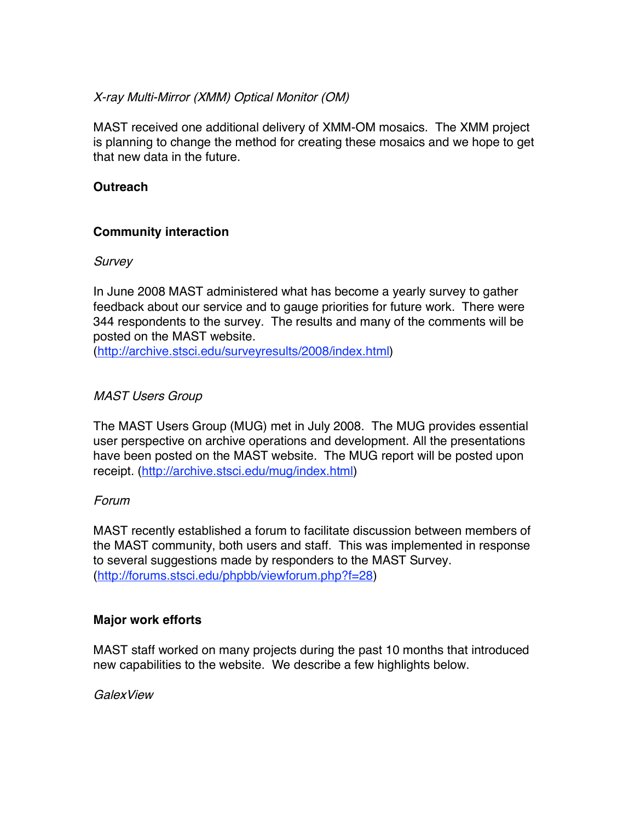## X-ray Multi-Mirror (XMM) Optical Monitor (OM)

MAST received one additional delivery of XMM-OM mosaics. The XMM project is planning to change the method for creating these mosaics and we hope to get that new data in the future.

## **Outreach**

## **Community interaction**

#### **Survey**

In June 2008 MAST administered what has become a yearly survey to gather feedback about our service and to gauge priorities for future work. There were 344 respondents to the survey. The results and many of the comments will be posted on the MAST website.

(http://archive.stsci.edu/surveyresults/2008/index.html)

### MAST Users Group

The MAST Users Group (MUG) met in July 2008. The MUG provides essential user perspective on archive operations and development. All the presentations have been posted on the MAST website. The MUG report will be posted upon receipt. (http://archive.stsci.edu/mug/index.html)

### Forum

MAST recently established a forum to facilitate discussion between members of the MAST community, both users and staff. This was implemented in response to several suggestions made by responders to the MAST Survey. (http://forums.stsci.edu/phpbb/viewforum.php?f=28)

### **Major work efforts**

MAST staff worked on many projects during the past 10 months that introduced new capabilities to the website. We describe a few highlights below.

**GalexView**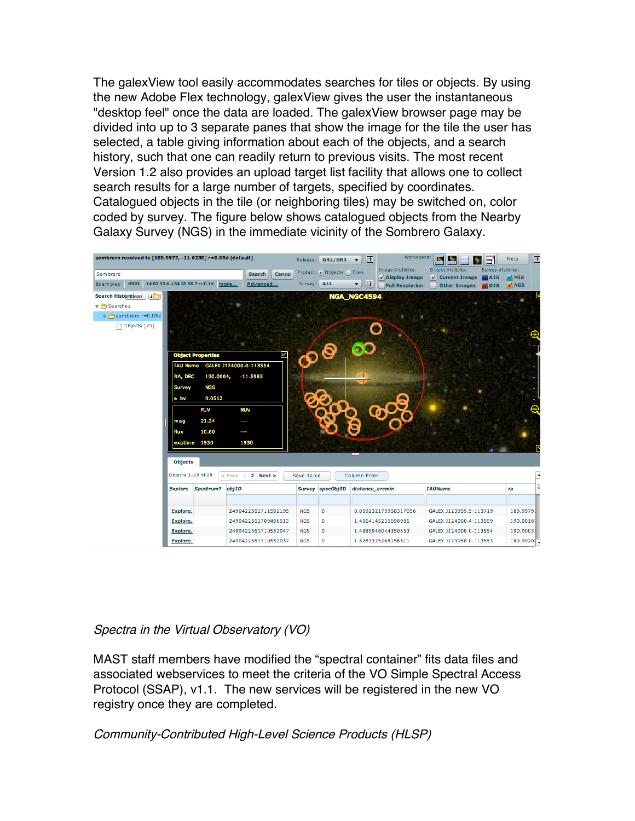The galexView tool easily accommodates searches for tiles or objects. By using the new Adobe Flex technology, galexView gives the user the instantaneous "desktop feel" once the data are loaded. The galexView browser page may be divided into up to 3 separate panes that show the image for the tile the user has selected, a table giving information about each of the objects, and a search history, such that one can readily return to previous visits. The most recent Version 1.2 also provides an upload target list facility that allows one to collect search results for a large number of targets, specified by coordinates. Catalogued objects in the tile (or neighboring tiles) may be switched on, color coded by survey. The figure below shows catalogued objects from the Nearby Galaxy Survey (NGS) in the immediate vicinity of the Sombrero Galaxy.

| sombrero resolved to [189.9977, -11.6230] r=0.05d (default)<br>Sombrero                                                                                                                                                                                                                                             | Cancel<br><b>Search</b>                                                                            | Release:                               | <b>GR2/GR3</b><br>Product: Objects Tiles | Workspace:<br>$\Delta$<br>$\overline{\mathbf{v}}$<br>Image Visibility:            | Îч.<br>Object Visibilty:                                                        | ⊡<br>Help<br>Survey Visibilty: |
|---------------------------------------------------------------------------------------------------------------------------------------------------------------------------------------------------------------------------------------------------------------------------------------------------------------------|----------------------------------------------------------------------------------------------------|----------------------------------------|------------------------------------------|-----------------------------------------------------------------------------------|---------------------------------------------------------------------------------|--------------------------------|
| M101 14 03 12.6 +54 20 56.7 r=0.1d more<br>Examples:                                                                                                                                                                                                                                                                | Advanced                                                                                           | Survey: ALL                            |                                          | $\sqrt{}$ Display Image<br>$\overline{\mathbf{r}}$<br>▼<br><b>Full Resolution</b> | $\sqrt{\phantom{a}}$ Current Image<br>$M$ AIS<br><b>Other Images</b><br>$V$ DIS | $\sqrt{MIS}$<br>$\sqrt{NGS}$   |
| Search Historglear    <br>$\blacktriangledown$ Searches<br>sombrero r=0.05d<br>Objects [29]<br><b>Object Properties</b><br><b>IAU Name</b><br>190.0004,<br>RA, DEC<br><b>NGS</b><br>Survey<br>0.0512<br>e_bv<br><b>FUV</b><br>21.34<br>mag<br>10.60<br>flux<br>exptime 1930<br><b>Objects</b><br>Objects 1-29 of 29 | ⊠<br>GALEX J124000.0-113554<br>$-11.5983$<br><b>NUV</b><br>ļ<br>ļ<br>1930<br>$<$ Prev 1   2 Next > | $\mathcal{P}^{\bigcirc}$<br>Save Table |                                          | NGA NGC4594<br>Column Filter                                                      |                                                                                 | Θ                              |
| <b>Explore</b><br>Spectrum?                                                                                                                                                                                                                                                                                         | objID                                                                                              |                                        | Survey specObjID                         | distance_arcmin                                                                   | <b>IAUName</b>                                                                  | ra                             |
|                                                                                                                                                                                                                                                                                                                     |                                                                                                    |                                        |                                          |                                                                                   |                                                                                 |                                |
| <b>Explore.</b>                                                                                                                                                                                                                                                                                                     | 2490422561711592195                                                                                | <b>NGS</b>                             | 0                                        | 0.059232175958317056                                                              | GALEX J123959.5-113719                                                          | 189.99793                      |
| Explore.                                                                                                                                                                                                                                                                                                            | 2490422561709496513                                                                                | <b>NGS</b>                             | 0                                        | 1.4064145235698986                                                                | GALEX J124000.4-113559                                                          | 190.00187                      |
| Explore.                                                                                                                                                                                                                                                                                                            | 2490422561710552047                                                                                | <b>NGS</b>                             | $\bf{0}$                                 | 1.4885946044350553                                                                | GALEX J124000.0-113554                                                          | 190.00033                      |
| <b>Explore.</b>                                                                                                                                                                                                                                                                                                     | 2490422561710552037                                                                                | <b>NGS</b>                             | 0                                        | 1.5263325268156511                                                                | GALEX J123958.0-113553                                                          | 189.99200                      |

# Spectra in the Virtual Observatory (VO)

MAST staff members have modified the "spectral container" fits data files and associated webservices to meet the criteria of the VO Simple Spectral Access Protocol (SSAP), v1.1. The new services will be registered in the new VO registry once they are completed.

Community-Contributed High-Level Science Products (HLSP)